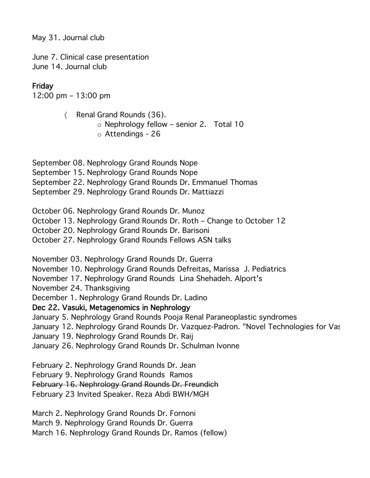May 31. Journal club

June 7. Clinical case presentation June 14. Journal club

## Friday

12:00 pm – 13:00 pm

〈 Renal Grand Rounds (36). o Nephrology fellow – senior 2. Total 10 o Attendings - 26

September 08. Nephrology Grand Rounds Nope September 15. Nephrology Grand Rounds Nope September 22. Nephrology Grand Rounds Dr. Emmanuel Thomas September 29. Nephrology Grand Rounds Dr. Mattiazzi

October 06. Nephrology Grand Rounds Dr. Munoz

October 13. Nephrology Grand Rounds Dr. Roth – Change to October 12

October 20. Nephrology Grand Rounds Dr. Barisoni

October 27. Nephrology Grand Rounds Fellows ASN talks

November 03. Nephrology Grand Rounds Dr. Guerra

November 10. Nephrology Grand Rounds Defreitas, Marissa J. Pediatrics

November 17. Nephrology Grand Rounds Lina Shehadeh. Alport's

November 24. Thanksgiving

December 1. Nephrology Grand Rounds Dr. Ladino

## Dec 22. Vasuki, Metagenomics in Nephrology

January 5. Nephrology Grand Rounds Pooja Renal Paraneoplastic syndromes

January 12. Nephrology Grand Rounds Dr. Vazquez-Padron. "Novel Technologies for Vas

January 19. Nephrology Grand Rounds Dr. Raij

January 26. Nephrology Grand Rounds Dr. Schulman Ivonne

February 2. Nephrology Grand Rounds Dr. Jean

February 9. Nephrology Grand Rounds Ramos

February 16. Nephrology Grand Rounds Dr. Freundich

February 23 Invited Speaker. Reza Abdi BWH/MGH

March 2. Nephrology Grand Rounds Dr. Fornoni

March 9. Nephrology Grand Rounds Dr. Guerra

March 16. Nephrology Grand Rounds Dr. Ramos (fellow)